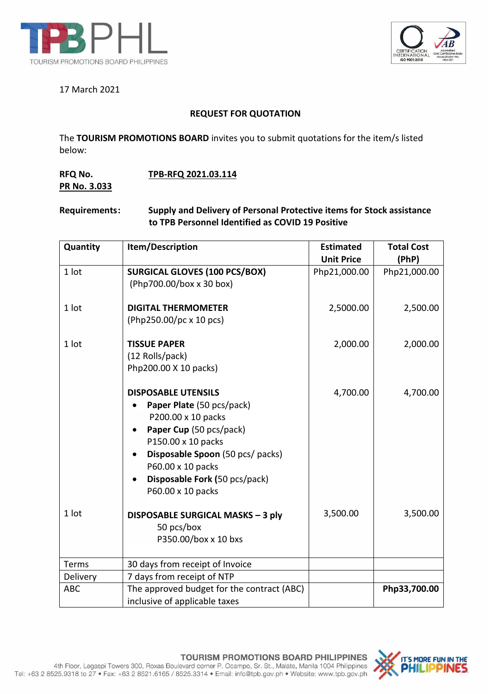



## 17 March 2021

# **REQUEST FOR QUOTATION**

The **TOURISM PROMOTIONS BOARD** invites you to submit quotations for the item/s listed below:

# **RFQ No. TPB-RFQ 2021.03.114 PR No. 3.033**

#### **Requirements: Supply and Delivery of Personal Protective items for Stock assistance to TPB Personnel Identified as COVID 19 Positive**

| Quantity   | Item/Description                                                                                                                                                                                                                              | <b>Estimated</b><br><b>Unit Price</b> | <b>Total Cost</b><br>(PhP) |
|------------|-----------------------------------------------------------------------------------------------------------------------------------------------------------------------------------------------------------------------------------------------|---------------------------------------|----------------------------|
| 1 lot      | <b>SURGICAL GLOVES (100 PCS/BOX)</b><br>(Php700.00/box x 30 box)                                                                                                                                                                              | Php21,000.00                          | Php21,000.00               |
| 1 lot      | <b>DIGITAL THERMOMETER</b><br>(Php250.00/pc x 10 pcs)                                                                                                                                                                                         | 2,5000.00                             | 2,500.00                   |
| 1 lot      | <b>TISSUE PAPER</b><br>(12 Rolls/pack)<br>Php200.00 X 10 packs)                                                                                                                                                                               | 2,000.00                              | 2,000.00                   |
|            | <b>DISPOSABLE UTENSILS</b><br>Paper Plate (50 pcs/pack)<br>P200.00 x 10 packs<br>Paper Cup (50 pcs/pack)<br>P150.00 x 10 packs<br>Disposable Spoon (50 pcs/ packs)<br>P60.00 x 10 packs<br>Disposable Fork (50 pcs/pack)<br>P60.00 x 10 packs | 4,700.00                              | 4,700.00                   |
| 1 lot      | DISPOSABLE SURGICAL MASKS - 3 ply<br>50 pcs/box<br>P350.00/box x 10 bxs                                                                                                                                                                       | 3,500.00                              | 3,500.00                   |
| Terms      | 30 days from receipt of Invoice                                                                                                                                                                                                               |                                       |                            |
| Delivery   | 7 days from receipt of NTP                                                                                                                                                                                                                    |                                       |                            |
| <b>ABC</b> | The approved budget for the contract (ABC)<br>inclusive of applicable taxes                                                                                                                                                                   |                                       | Php33,700.00               |